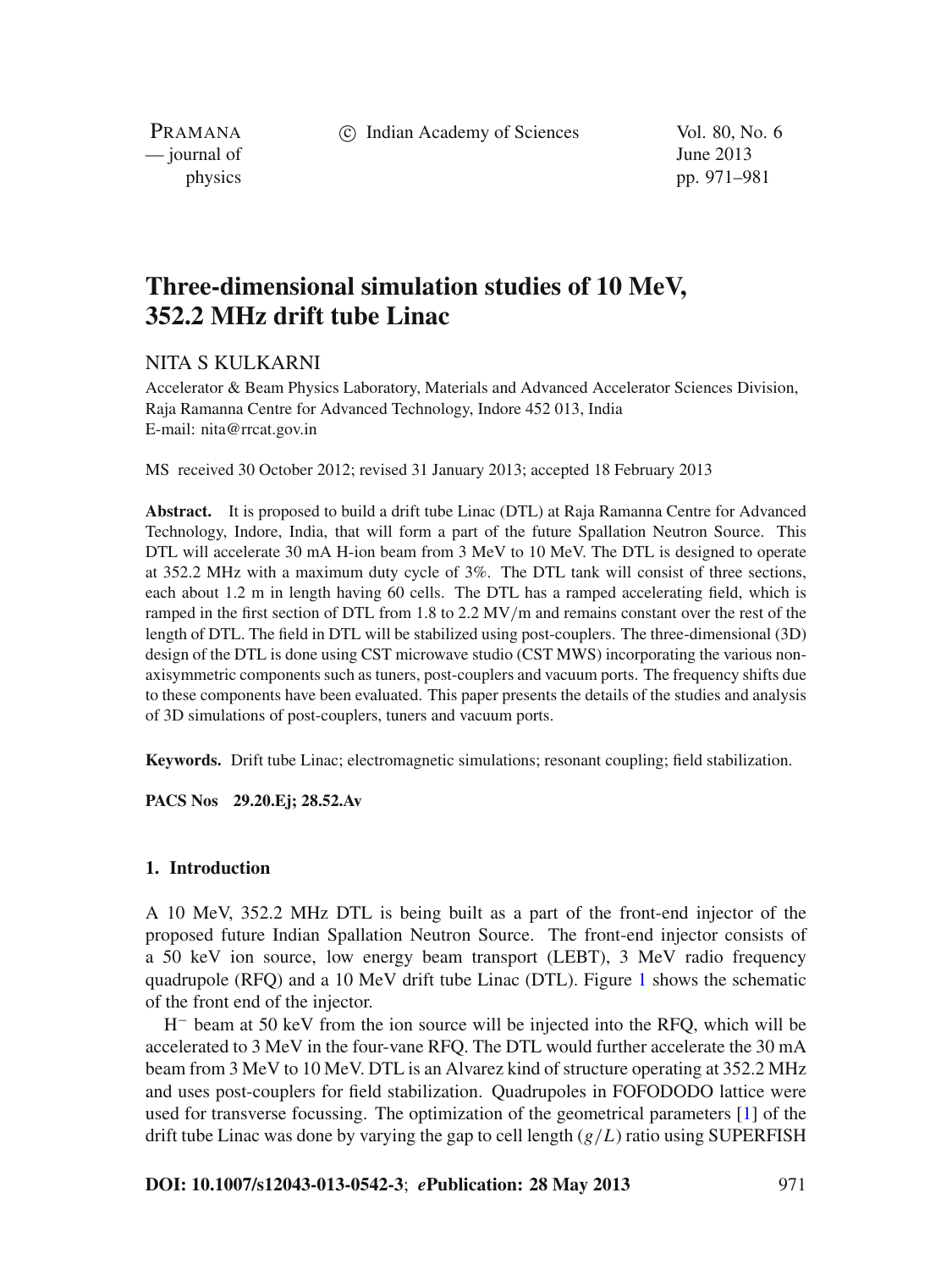c Indian Academy of Sciences Vol. 80, No. 6

PRAMANA — journal of June 2013

physics pp. 971–981

# **Three-dimensional simulation studies of 10 MeV, 352.2 MHz drift tube Linac**

## NITA S KULKARNI

Accelerator & Beam Physics Laboratory, Materials and Advanced Accelerator Sciences Division, Raja Ramanna Centre for Advanced Technology, Indore 452 013, India E-mail: nita@rrcat.gov.in

MS received 30 October 2012; revised 31 January 2013; accepted 18 February 2013

**Abstract.** It is proposed to build a drift tube Linac (DTL) at Raja Ramanna Centre for Advanced Technology, Indore, India, that will form a part of the future Spallation Neutron Source. This DTL will accelerate 30 mA H-ion beam from 3 MeV to 10 MeV. The DTL is designed to operate at 352.2 MHz with a maximum duty cycle of 3%. The DTL tank will consist of three sections, each about 1.2 m in length having 60 cells. The DTL has a ramped accelerating field, which is ramped in the first section of DTL from 1.8 to 2.2 MV/m and remains constant over the rest of the length of DTL. The field in DTL will be stabilized using post-couplers. The three-dimensional (3D) design of the DTL is done using CST microwave studio (CST MWS) incorporating the various nonaxisymmetric components such as tuners, post-couplers and vacuum ports. The frequency shifts due to these components have been evaluated. This paper presents the details of the studies and analysis of 3D simulations of post-couplers, tuners and vacuum ports.

**Keywords.** Drift tube Linac; electromagnetic simulations; resonant coupling; field stabilization.

**PACS Nos 29.20.Ej; 28.52.Av**

#### **1. Introduction**

A 10 MeV, 352.2 MHz DTL is being built as a part of the front-end injector of the proposed future Indian Spallation Neutron Source. The front-end injector consists of a 50 keV ion source, low energy beam transport (LEBT), 3 MeV radio frequency quadrupole (RFQ) and a 10 MeV drift tube Linac (DTL). Figure [1](#page-1-0) shows the schematic of the front end of the injector.

H<sup>−</sup> beam at 50 keV from the ion source will be injected into the RFQ, which will be accelerated to 3 MeV in the four-vane RFQ. The DTL would further accelerate the 30 mA beam from 3 MeV to 10 MeV. DTL is an Alvarez kind of structure operating at 352.2 MHz and uses post-couplers for field stabilization. Quadrupoles in FOFODODO lattice were used for transverse focussing. The optimization of the geometrical parameters [\[1\]](#page-10-0) of the drift tube Linac was done by varying the gap to cell length (*g*/*L*) ratio using SUPERFISH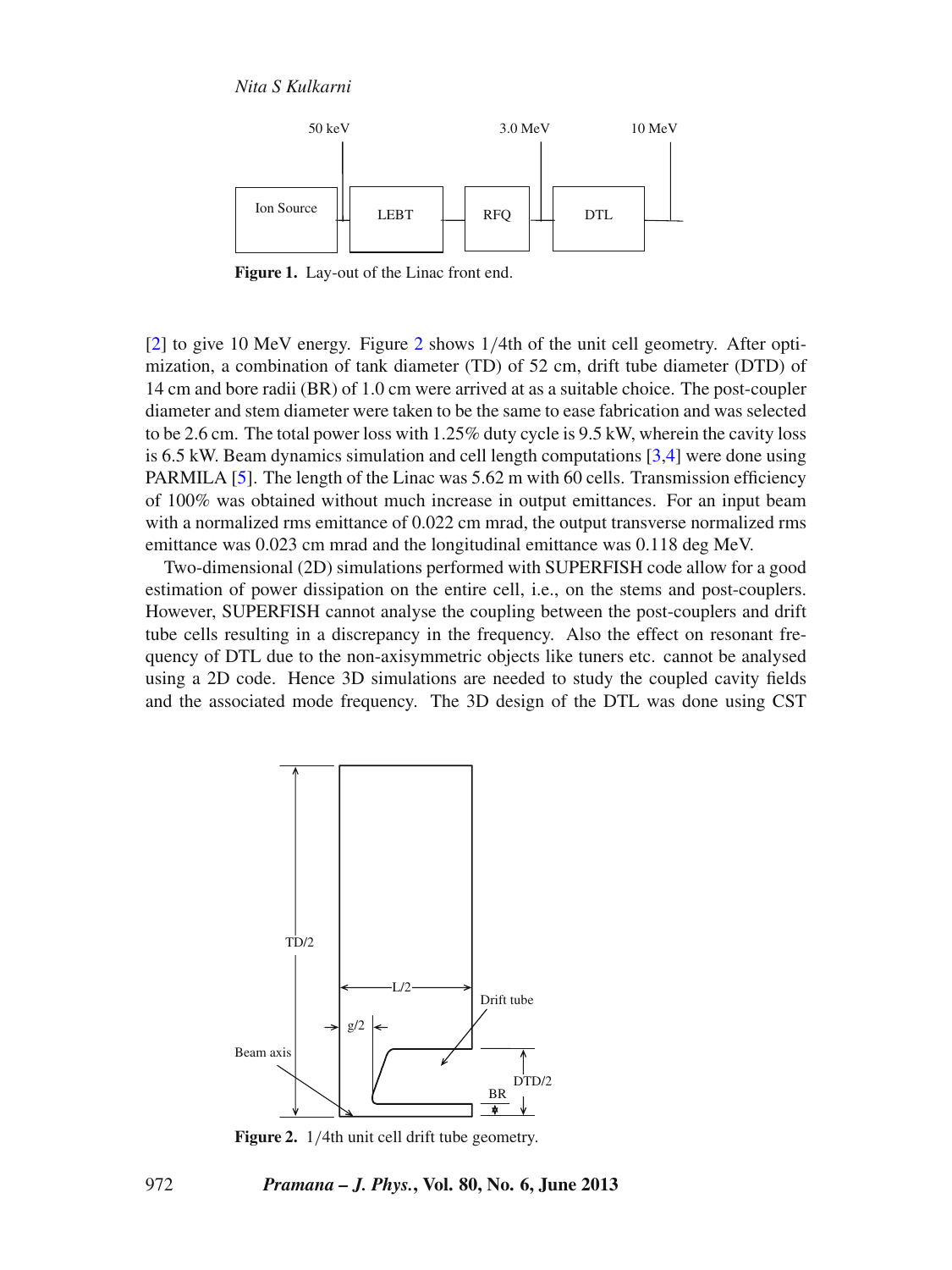*Nita S Kulkarni*

<span id="page-1-0"></span>

**Figure 1.** Lay-out of the Linac front end.

[\[2](#page-10-1)] to give 10 MeV energy. Figure [2](#page-1-1) shows 1/4th of the unit cell geometry. After optimization, a combination of tank diameter (TD) of 52 cm, drift tube diameter (DTD) of 14 cm and bore radii (BR) of 1.0 cm were arrived at as a suitable choice. The post-coupler diameter and stem diameter were taken to be the same to ease fabrication and was selected to be 2.6 cm. The total power loss with 1.25% duty cycle is 9.5 kW, wherein the cavity loss is 6.5 kW. Beam dynamics simulation and cell length computations  $[3,4]$  $[3,4]$  were done using PARMILA [\[5](#page-10-4)]. The length of the Linac was 5.62 m with 60 cells. Transmission efficiency of 100% was obtained without much increase in output emittances. For an input beam with a normalized rms emittance of 0.022 cm mrad, the output transverse normalized rms emittance was 0.023 cm mrad and the longitudinal emittance was 0.118 deg MeV.

Two-dimensional (2D) simulations performed with SUPERFISH code allow for a good estimation of power dissipation on the entire cell, i.e., on the stems and post-couplers. However, SUPERFISH cannot analyse the coupling between the post-couplers and drift tube cells resulting in a discrepancy in the frequency. Also the effect on resonant frequency of DTL due to the non-axisymmetric objects like tuners etc. cannot be analysed using a 2D code. Hence 3D simulations are needed to study the coupled cavity fields and the associated mode frequency. The 3D design of the DTL was done using CST

<span id="page-1-1"></span>

**Figure 2.** 1/4th unit cell drift tube geometry.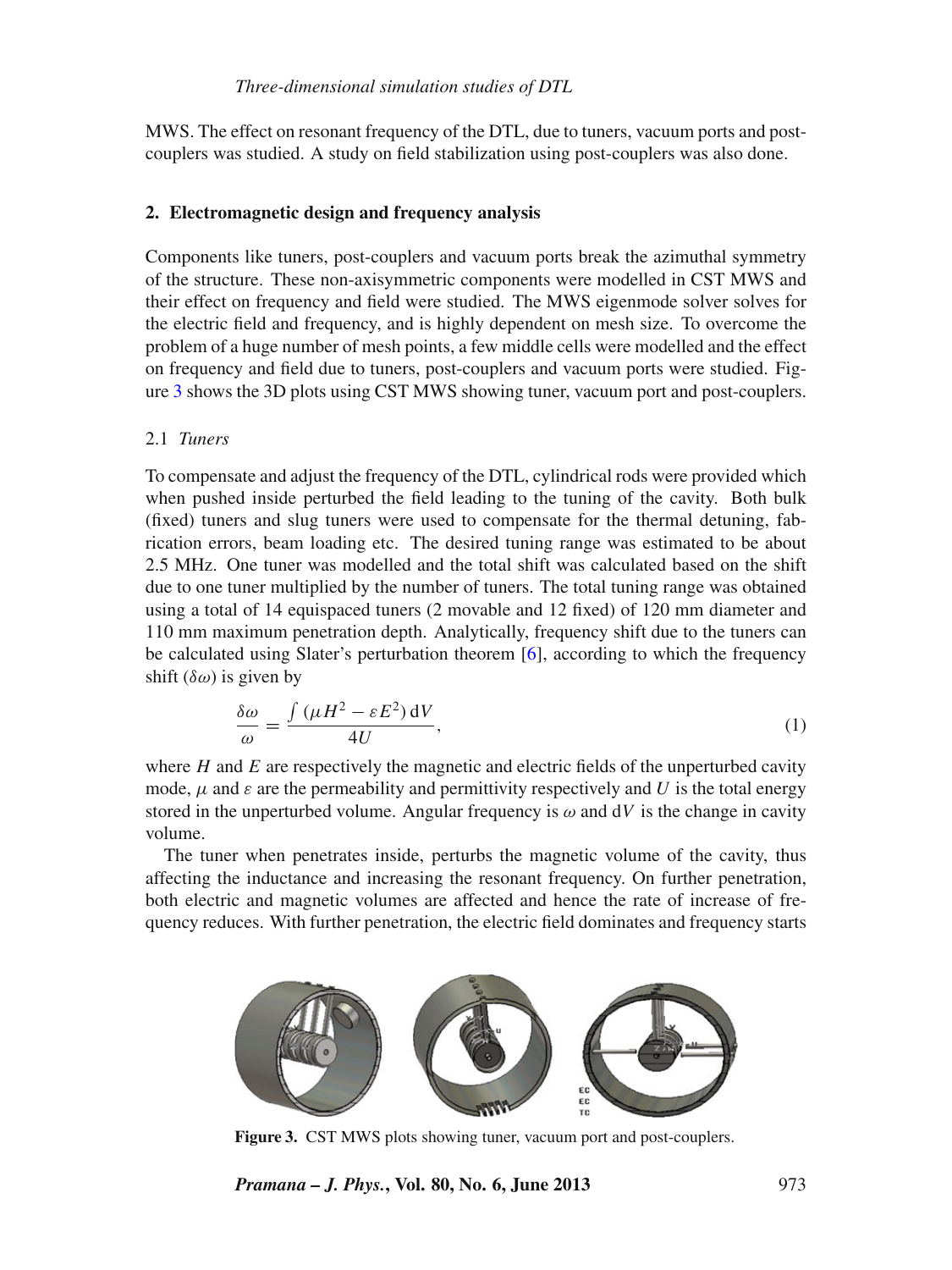MWS. The effect on resonant frequency of the DTL, due to tuners, vacuum ports and postcouplers was studied. A study on field stabilization using post-couplers was also done.

## **2. Electromagnetic design and frequency analysis**

Components like tuners, post-couplers and vacuum ports break the azimuthal symmetry of the structure. These non-axisymmetric components were modelled in CST MWS and their effect on frequency and field were studied. The MWS eigenmode solver solves for the electric field and frequency, and is highly dependent on mesh size. To overcome the problem of a huge number of mesh points, a few middle cells were modelled and the effect on frequency and field due to tuners, post-couplers and vacuum ports were studied. Figure [3](#page-2-0) shows the 3D plots using CST MWS showing tuner, vacuum port and post-couplers.

## 2.1 *Tuners*

To compensate and adjust the frequency of the DTL, cylindrical rods were provided which when pushed inside perturbed the field leading to the tuning of the cavity. Both bulk (fixed) tuners and slug tuners were used to compensate for the thermal detuning, fabrication errors, beam loading etc. The desired tuning range was estimated to be about 2.5 MHz. One tuner was modelled and the total shift was calculated based on the shift due to one tuner multiplied by the number of tuners. The total tuning range was obtained using a total of 14 equispaced tuners (2 movable and 12 fixed) of 120 mm diameter and 110 mm maximum penetration depth. Analytically, frequency shift due to the tuners can be calculated using Slater's perturbation theorem [\[6\]](#page-10-5), according to which the frequency shift  $(\delta \omega)$  is given by

$$
\frac{\delta\omega}{\omega} = \frac{\int (\mu H^2 - \varepsilon E^2) \,dV}{4U},\tag{1}
$$

where  $H$  and  $E$  are respectively the magnetic and electric fields of the unperturbed cavity mode,  $\mu$  and  $\varepsilon$  are the permeability and permittivity respectively and *U* is the total energy stored in the unperturbed volume. Angular frequency is  $\omega$  and  $dV$  is the change in cavity volume.

The tuner when penetrates inside, perturbs the magnetic volume of the cavity, thus affecting the inductance and increasing the resonant frequency. On further penetration, both electric and magnetic volumes are affected and hence the rate of increase of frequency reduces. With further penetration, the electric field dominates and frequency starts

<span id="page-2-0"></span>

**Figure 3.** CST MWS plots showing tuner, vacuum port and post-couplers.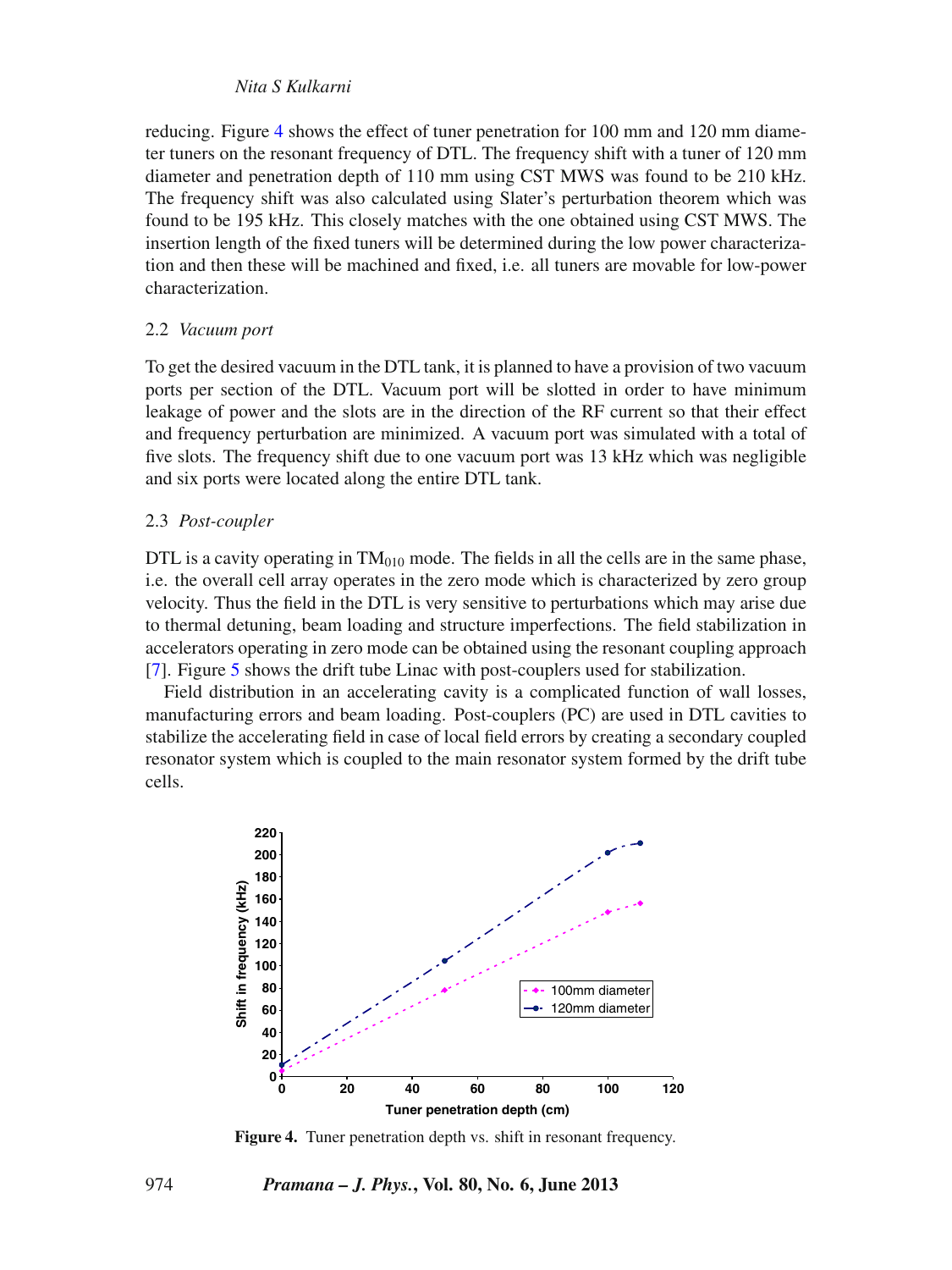#### *Nita S Kulkarni*

reducing. Figure [4](#page-3-0) shows the effect of tuner penetration for 100 mm and 120 mm diameter tuners on the resonant frequency of DTL. The frequency shift with a tuner of 120 mm diameter and penetration depth of 110 mm using CST MWS was found to be 210 kHz. The frequency shift was also calculated using Slater's perturbation theorem which was found to be 195 kHz. This closely matches with the one obtained using CST MWS. The insertion length of the fixed tuners will be determined during the low power characterization and then these will be machined and fixed, i.e. all tuners are movable for low-power characterization.

#### 2.2 *Vacuum port*

To get the desired vacuum in the DTL tank, it is planned to have a provision of two vacuum ports per section of the DTL. Vacuum port will be slotted in order to have minimum leakage of power and the slots are in the direction of the RF current so that their effect and frequency perturbation are minimized. A vacuum port was simulated with a total of five slots. The frequency shift due to one vacuum port was 13 kHz which was negligible and six ports were located along the entire DTL tank.

#### 2.3 *Post-coupler*

DTL is a cavity operating in  $TM<sub>010</sub>$  mode. The fields in all the cells are in the same phase, i.e. the overall cell array operates in the zero mode which is characterized by zero group velocity. Thus the field in the DTL is very sensitive to perturbations which may arise due to thermal detuning, beam loading and structure imperfections. The field stabilization in accelerators operating in zero mode can be obtained using the resonant coupling approach [\[7](#page-10-6)]. Figure [5](#page-4-0) shows the drift tube Linac with post-couplers used for stabilization.

Field distribution in an accelerating cavity is a complicated function of wall losses, manufacturing errors and beam loading. Post-couplers (PC) are used in DTL cavities to stabilize the accelerating field in case of local field errors by creating a secondary coupled resonator system which is coupled to the main resonator system formed by the drift tube cells.

<span id="page-3-0"></span>

**Figure 4.** Tuner penetration depth vs. shift in resonant frequency.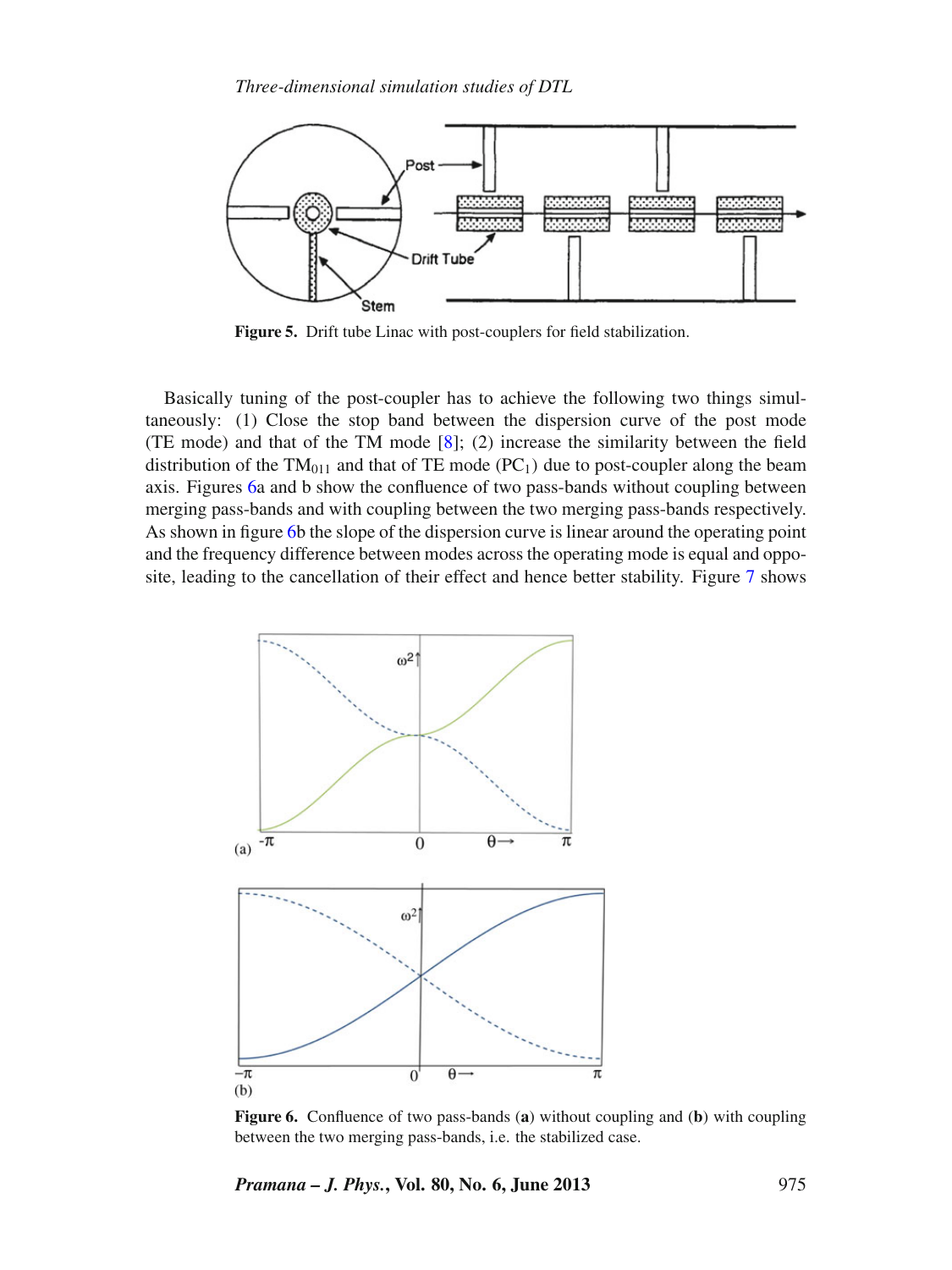<span id="page-4-0"></span>

**Figure 5.** Drift tube Linac with post-couplers for field stabilization.

Basically tuning of the post-coupler has to achieve the following two things simultaneously: (1) Close the stop band between the dispersion curve of the post mode (TE mode) and that of the TM mode [\[8\]](#page-10-7); (2) increase the similarity between the field distribution of the  $TM_{011}$  and that of TE mode (PC<sub>1</sub>) due to post-coupler along the beam axis. Figures [6a](#page-4-1) and b show the confluence of two pass-bands without coupling between merging pass-bands and with coupling between the two merging pass-bands respectively. As shown in figure [6b](#page-4-1) the slope of the dispersion curve is linear around the operating point and the frequency difference between modes across the operating mode is equal and opposite, leading to the cancellation of their effect and hence better stability. Figure [7](#page-5-0) shows

<span id="page-4-1"></span>

**Figure 6.** Confluence of two pass-bands (**a**) without coupling and (**b**) with coupling between the two merging pass-bands, i.e. the stabilized case.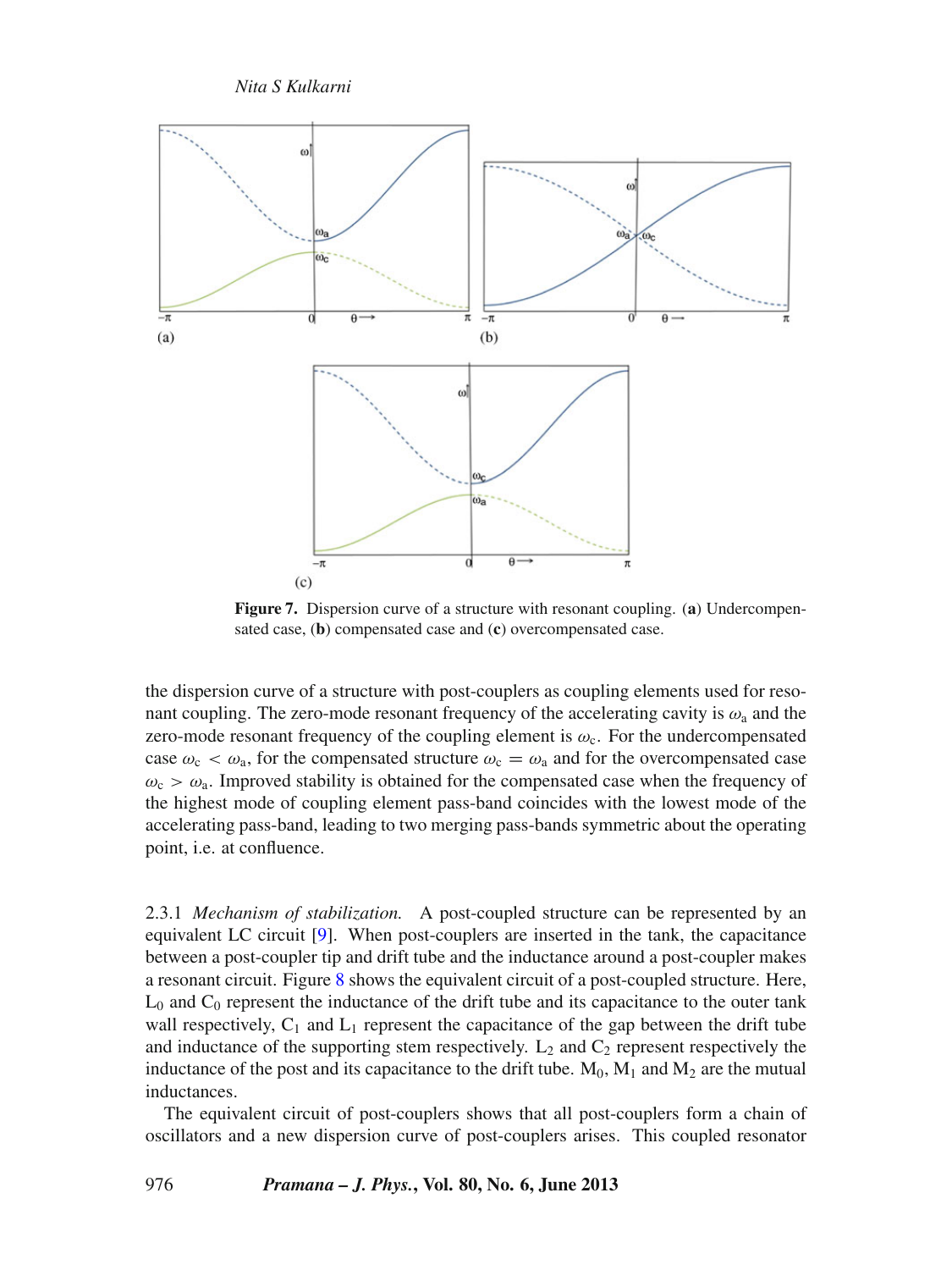*Nita S Kulkarni*

<span id="page-5-0"></span>

**Figure 7.** Dispersion curve of a structure with resonant coupling. (**a**) Undercompensated case, (**b**) compensated case and (**c**) overcompensated case.

the dispersion curve of a structure with post-couplers as coupling elements used for resonant coupling. The zero-mode resonant frequency of the accelerating cavity is  $\omega_a$  and the zero-mode resonant frequency of the coupling element is  $\omega_c$ . For the undercompensated case  $\omega_c < \omega_a$ , for the compensated structure  $\omega_c = \omega_a$  and for the overcompensated case  $\omega_c > \omega_a$ . Improved stability is obtained for the compensated case when the frequency of the highest mode of coupling element pass-band coincides with the lowest mode of the accelerating pass-band, leading to two merging pass-bands symmetric about the operating point, i.e. at confluence.

2.3.1 *Mechanism of stabilization.* A post-coupled structure can be represented by an equivalent LC circuit [\[9](#page-10-8)]. When post-couplers are inserted in the tank, the capacitance between a post-coupler tip and drift tube and the inductance around a post-coupler makes a resonant circuit. Figure [8](#page-6-0) shows the equivalent circuit of a post-coupled structure. Here,  $L_0$  and  $C_0$  represent the inductance of the drift tube and its capacitance to the outer tank wall respectively,  $C_1$  and  $L_1$  represent the capacitance of the gap between the drift tube and inductance of the supporting stem respectively.  $L_2$  and  $C_2$  represent respectively the inductance of the post and its capacitance to the drift tube.  $M_0$ ,  $M_1$  and  $M_2$  are the mutual inductances.

The equivalent circuit of post-couplers shows that all post-couplers form a chain of oscillators and a new dispersion curve of post-couplers arises. This coupled resonator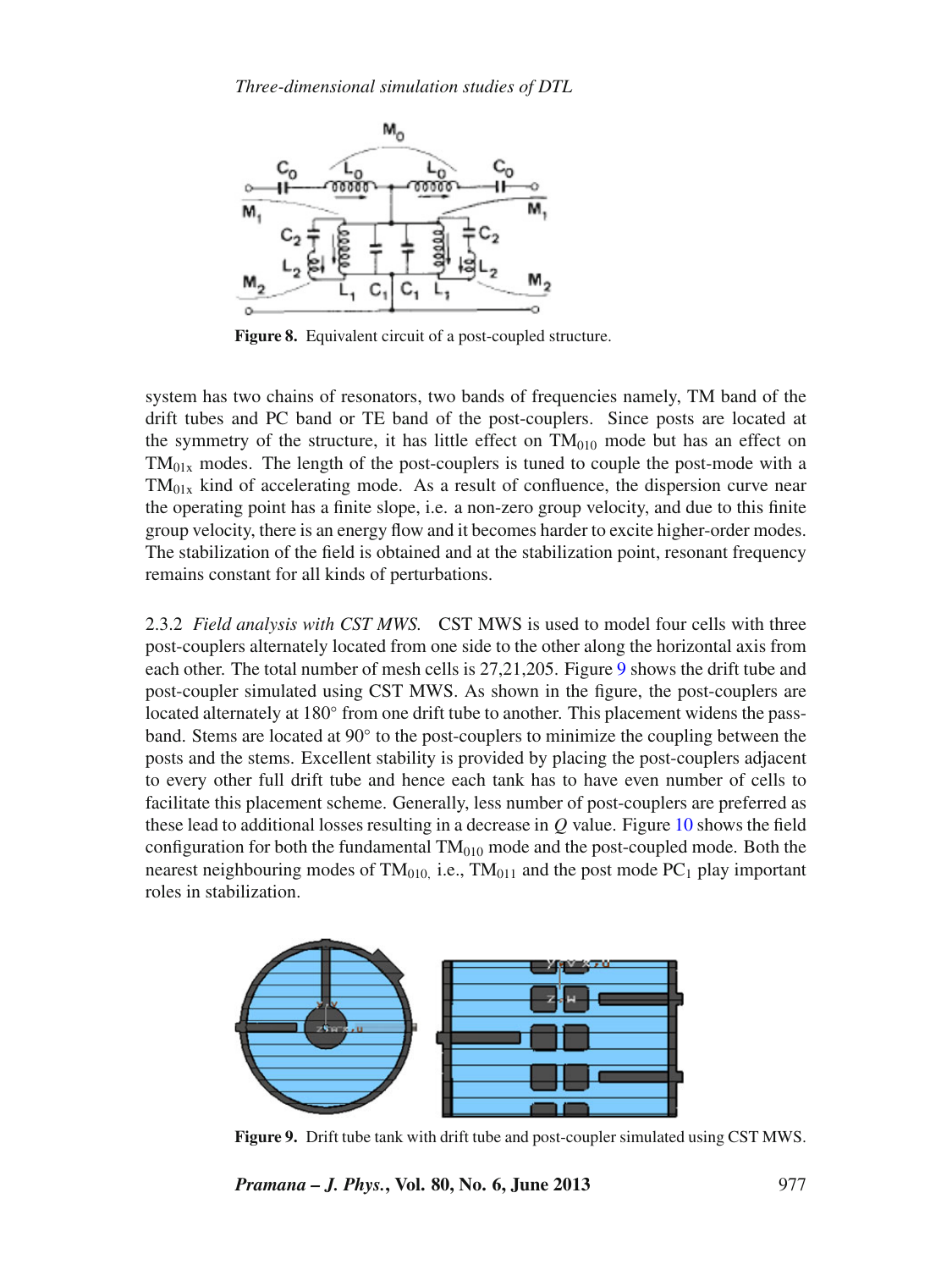<span id="page-6-0"></span>

**Figure 8.** Equivalent circuit of a post-coupled structure.

system has two chains of resonators, two bands of frequencies namely, TM band of the drift tubes and PC band or TE band of the post-couplers. Since posts are located at the symmetry of the structure, it has little effect on  $TM<sub>010</sub>$  mode but has an effect on  $TM<sub>01x</sub>$  modes. The length of the post-couplers is tuned to couple the post-mode with a  $TM<sub>01x</sub>$  kind of accelerating mode. As a result of confluence, the dispersion curve near the operating point has a finite slope, i.e. a non-zero group velocity, and due to this finite group velocity, there is an energy flow and it becomes harder to excite higher-order modes. The stabilization of the field is obtained and at the stabilization point, resonant frequency remains constant for all kinds of perturbations.

2.3.2 *Field analysis with CST MWS.* CST MWS is used to model four cells with three post-couplers alternately located from one side to the other along the horizontal axis from each other. The total number of mesh cells is 27,21,205. Figure [9](#page-6-1) shows the drift tube and post-coupler simulated using CST MWS. As shown in the figure, the post-couplers are located alternately at 180◦ from one drift tube to another. This placement widens the passband. Stems are located at 90◦ to the post-couplers to minimize the coupling between the posts and the stems. Excellent stability is provided by placing the post-couplers adjacent to every other full drift tube and hence each tank has to have even number of cells to facilitate this placement scheme. Generally, less number of post-couplers are preferred as these lead to additional losses resulting in a decrease in *Q* value. Figure [10](#page-7-0) shows the field configuration for both the fundamental  $TM<sub>010</sub>$  mode and the post-coupled mode. Both the nearest neighbouring modes of  $TM<sub>010</sub>$ , i.e.,  $TM<sub>011</sub>$  and the post mode PC<sub>1</sub> play important roles in stabilization.

<span id="page-6-1"></span>

**Figure 9.** Drift tube tank with drift tube and post-coupler simulated using CST MWS.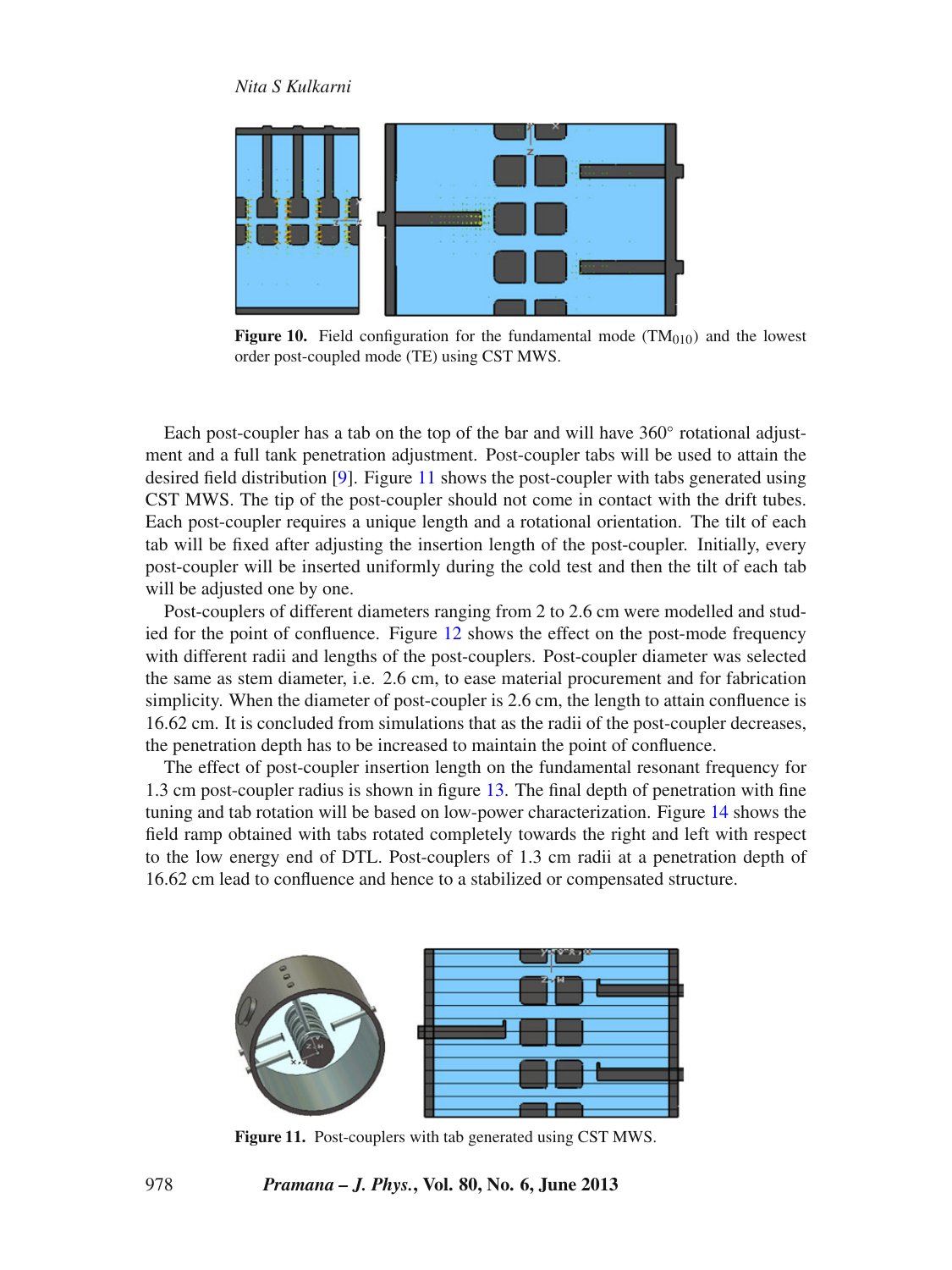<span id="page-7-0"></span>

**Figure 10.** Field configuration for the fundamental mode  $(TM<sub>010</sub>)$  and the lowest order post-coupled mode (TE) using CST MWS.

Each post-coupler has a tab on the top of the bar and will have 360◦ rotational adjustment and a full tank penetration adjustment. Post-coupler tabs will be used to attain the desired field distribution [\[9](#page-10-8)]. Figure [11](#page-7-1) shows the post-coupler with tabs generated using CST MWS. The tip of the post-coupler should not come in contact with the drift tubes. Each post-coupler requires a unique length and a rotational orientation. The tilt of each tab will be fixed after adjusting the insertion length of the post-coupler. Initially, every post-coupler will be inserted uniformly during the cold test and then the tilt of each tab will be adjusted one by one.

Post-couplers of different diameters ranging from 2 to 2.6 cm were modelled and studied for the point of confluence. Figure [12](#page-8-0) shows the effect on the post-mode frequency with different radii and lengths of the post-couplers. Post-coupler diameter was selected the same as stem diameter, i.e. 2.6 cm, to ease material procurement and for fabrication simplicity. When the diameter of post-coupler is 2.6 cm, the length to attain confluence is 16.62 cm. It is concluded from simulations that as the radii of the post-coupler decreases, the penetration depth has to be increased to maintain the point of confluence.

The effect of post-coupler insertion length on the fundamental resonant frequency for 1.3 cm post-coupler radius is shown in figure [13.](#page-8-1) The final depth of penetration with fine tuning and tab rotation will be based on low-power characterization. Figure [14](#page-9-0) shows the field ramp obtained with tabs rotated completely towards the right and left with respect to the low energy end of DTL. Post-couplers of 1.3 cm radii at a penetration depth of 16.62 cm lead to confluence and hence to a stabilized or compensated structure.

<span id="page-7-1"></span>

**Figure 11.** Post-couplers with tab generated using CST MWS.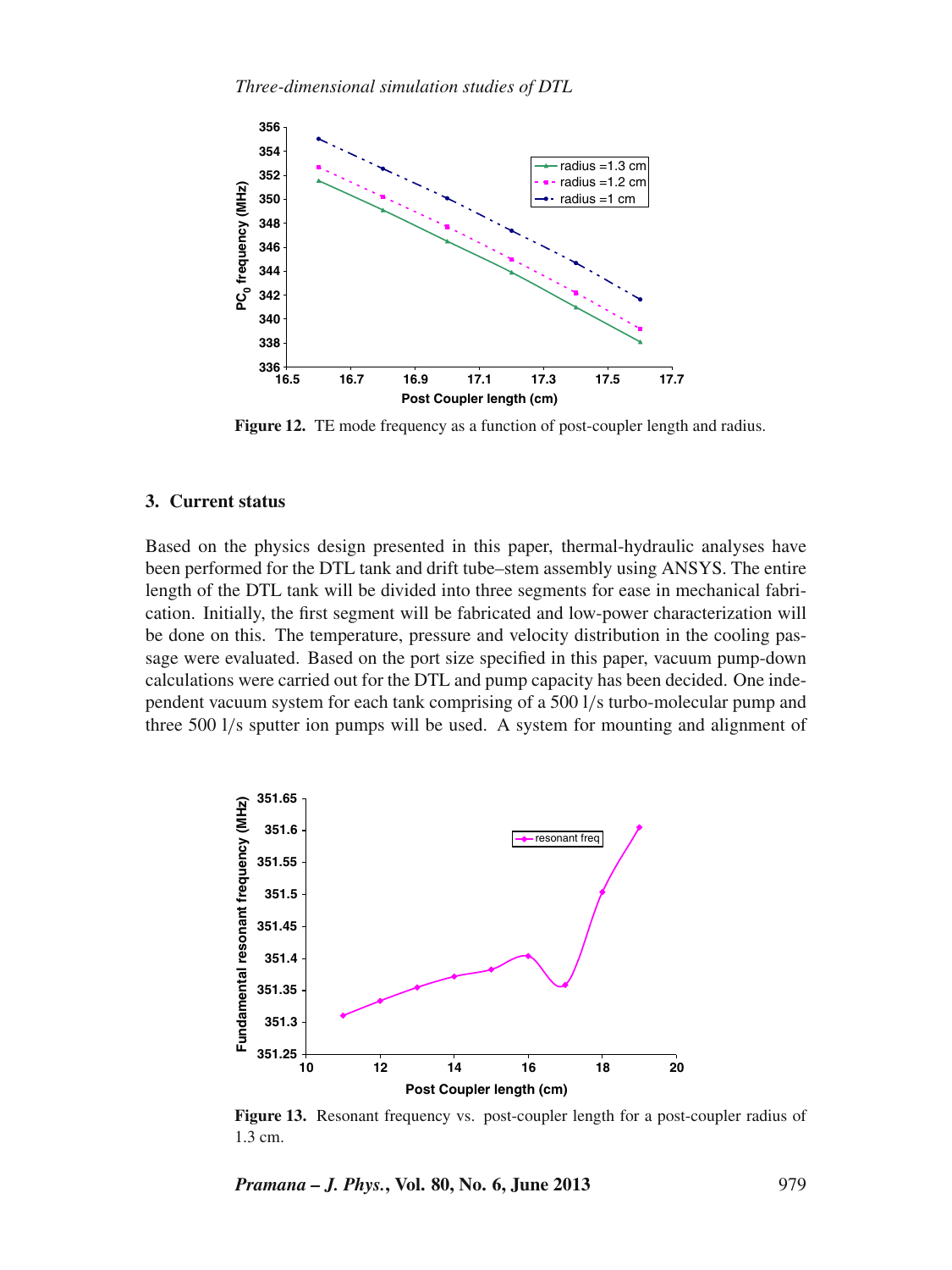<span id="page-8-0"></span>

Figure 12. TE mode frequency as a function of post-coupler length and radius.

### **3. Current status**

Based on the physics design presented in this paper, thermal-hydraulic analyses have been performed for the DTL tank and drift tube–stem assembly using ANSYS. The entire length of the DTL tank will be divided into three segments for ease in mechanical fabrication. Initially, the first segment will be fabricated and low-power characterization will be done on this. The temperature, pressure and velocity distribution in the cooling passage were evaluated. Based on the port size specified in this paper, vacuum pump-down calculations were carried out for the DTL and pump capacity has been decided. One independent vacuum system for each tank comprising of a 500 l/s turbo-molecular pump and three 500 l/s sputter ion pumps will be used. A system for mounting and alignment of

<span id="page-8-1"></span>

**Figure 13.** Resonant frequency vs. post-coupler length for a post-coupler radius of 1.3 cm.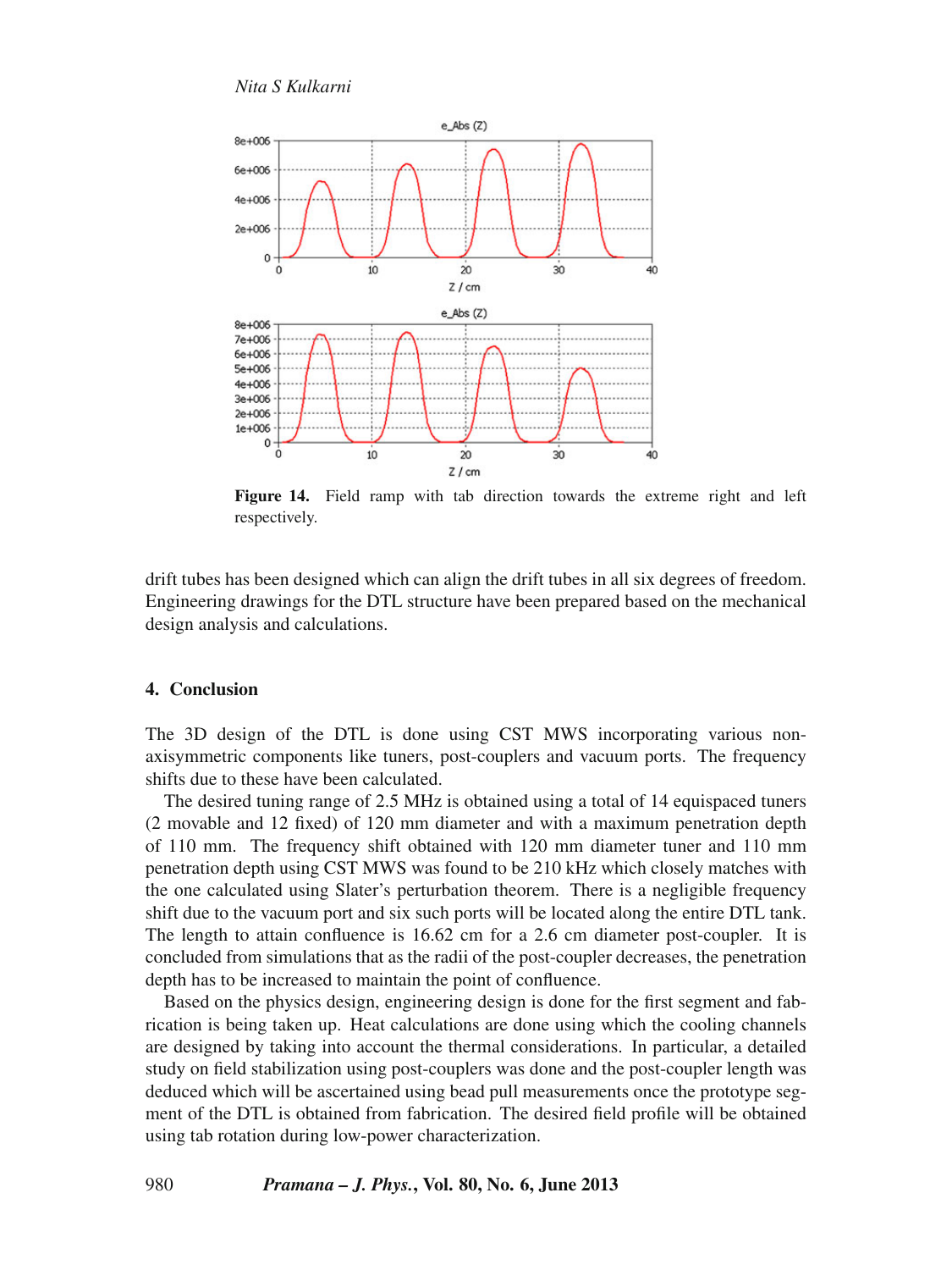<span id="page-9-0"></span>

**Figure 14.** Field ramp with tab direction towards the extreme right and left respectively.

drift tubes has been designed which can align the drift tubes in all six degrees of freedom. Engineering drawings for the DTL structure have been prepared based on the mechanical design analysis and calculations.

#### **4. Conclusion**

The 3D design of the DTL is done using CST MWS incorporating various nonaxisymmetric components like tuners, post-couplers and vacuum ports. The frequency shifts due to these have been calculated.

The desired tuning range of 2.5 MHz is obtained using a total of 14 equispaced tuners (2 movable and 12 fixed) of 120 mm diameter and with a maximum penetration depth of 110 mm. The frequency shift obtained with 120 mm diameter tuner and 110 mm penetration depth using CST MWS was found to be 210 kHz which closely matches with the one calculated using Slater's perturbation theorem. There is a negligible frequency shift due to the vacuum port and six such ports will be located along the entire DTL tank. The length to attain confluence is 16.62 cm for a 2.6 cm diameter post-coupler. It is concluded from simulations that as the radii of the post-coupler decreases, the penetration depth has to be increased to maintain the point of confluence.

Based on the physics design, engineering design is done for the first segment and fabrication is being taken up. Heat calculations are done using which the cooling channels are designed by taking into account the thermal considerations. In particular, a detailed study on field stabilization using post-couplers was done and the post-coupler length was deduced which will be ascertained using bead pull measurements once the prototype segment of the DTL is obtained from fabrication. The desired field profile will be obtained using tab rotation during low-power characterization.